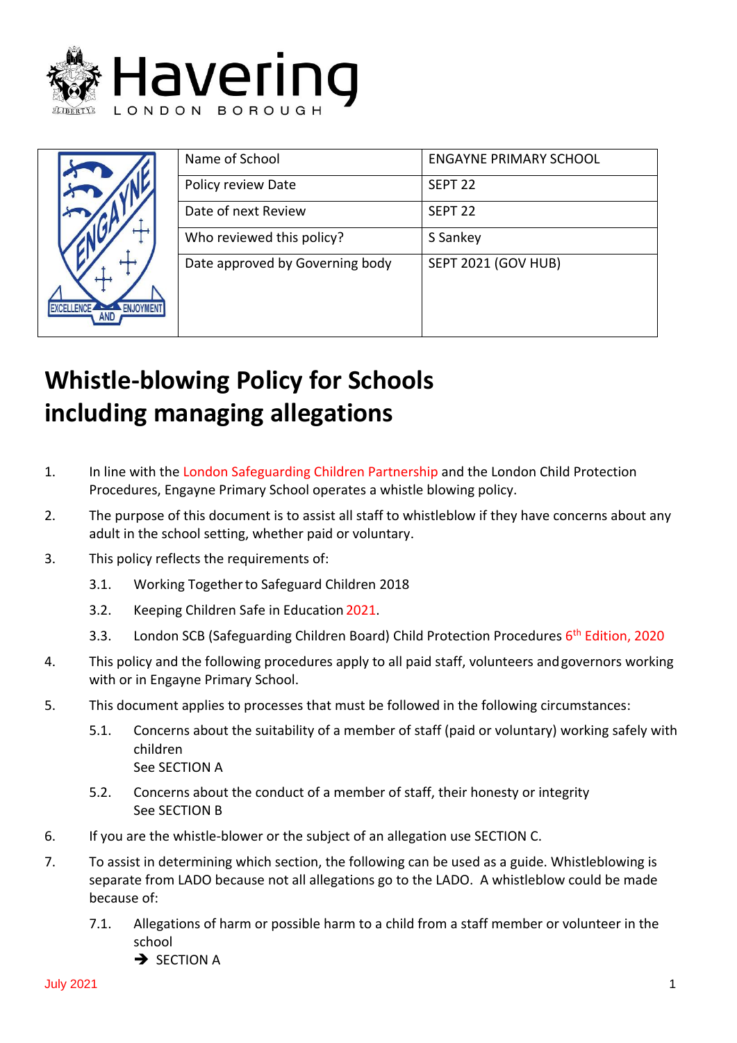



|  | Name of School                  | <b>ENGAYNE PRIMARY SCHOOL</b> |
|--|---------------------------------|-------------------------------|
|  | Policy review Date              | SEPT <sub>22</sub>            |
|  | Date of next Review             | SEPT <sub>22</sub>            |
|  | Who reviewed this policy?       | S Sankey                      |
|  | Date approved by Governing body | <b>SEPT 2021 (GOV HUB)</b>    |

# **Whistle-blowing Policy for Schools including managing allegations**

- 1. In line with the London Safeguarding Children Partnership and the London Child Protection Procedures, Engayne Primary School operates a whistle blowing policy.
- 2. The purpose of this document is to assist all staff to whistleblow if they have concerns about any adult in the school setting, whether paid or voluntary.
- 3. This policy reflects the requirements of:
	- 3.1. Working Togetherto Safeguard Children 2018
	- 3.2. Keeping Children Safe in Education 2021.
	- 3.3. London SCB (Safeguarding Children Board) Child Protection Procedures 6<sup>th</sup> Edition, 2020
- 4. This policy and the following procedures apply to all paid staff, volunteers andgovernors working with or in Engayne Primary School.
- 5. This document applies to processes that must be followed in the following circumstances:
	- 5.1. Concerns about the suitability of a member of staff (paid or voluntary) working safely with children See SECTION A
	- 5.2. Concerns about the conduct of a member of staff, their honesty or integrity See SECTION B
- 6. If you are the whistle-blower or the subject of an allegation use SECTION C.
- 7. To assist in determining which section, the following can be used as a guide. Whistleblowing is separate from LADO because not all allegations go to the LADO. A whistleblow could be made because of:
	- 7.1. Allegations of harm or possible harm to a child from a staff member or volunteer in the school

 $\rightarrow$  SECTION A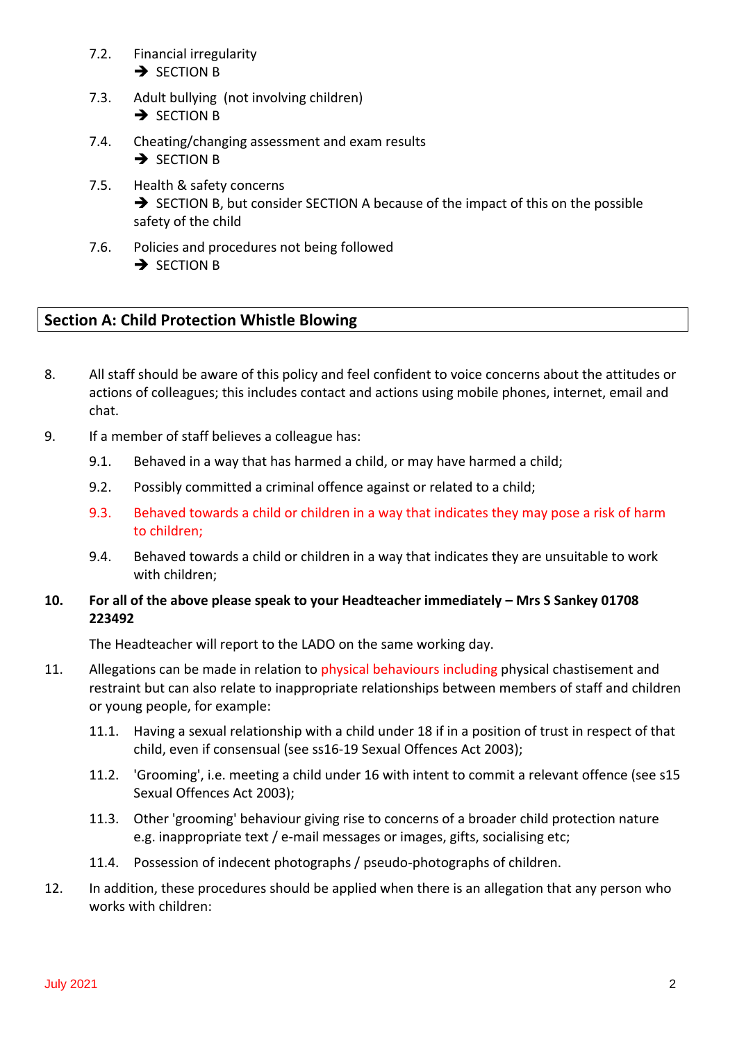- 7.2. Financial irregularity  $\rightarrow$  SECTION B
- 7.3. Adult bullying (not involving children)  $\rightarrow$  SECTION B
- 7.4. Cheating/changing assessment and exam results  $\rightarrow$  SECTION B
- 7.5. Health & safety concerns  $\rightarrow$  SECTION B, but consider SECTION A because of the impact of this on the possible safety of the child
- 7.6. Policies and procedures not being followed  $\rightarrow$  SECTION B

# **Section A: Child Protection Whistle Blowing**

- 8. All staff should be aware of this policy and feel confident to voice concerns about the attitudes or actions of colleagues; this includes contact and actions using mobile phones, internet, email and chat.
- 9. If a member of staff believes a colleague has:
	- 9.1. Behaved in a way that has harmed a child, or may have harmed a child;
	- 9.2. Possibly committed a criminal offence against or related to a child;
	- 9.3. Behaved towards a child or children in a way that indicates they may pose a risk of harm to children;
	- 9.4. Behaved towards a child or children in a way that indicates they are unsuitable to work with children;

## 10. **For all of the above please speak to your Headteacher immediately – Mrs S Sankey 01708 223492**

The Headteacher will report to the LADO on the same working day.

- 11. Allegations can be made in relation to physical behaviours including physical chastisement and restraint but can also relate to inappropriate relationships between members of staff and children or young people, for example:
	- 11.1. Having a sexual relationship with a child under 18 if in a position of trust in respect of that child, even if consensual (see ss16-19 Sexual Offences Act 2003);
	- 11.2. 'Grooming', i.e. meeting a child under 16 with intent to commit a relevant offence (see s15 Sexual Offences Act 2003);
	- 11.3. Other 'grooming' behaviour giving rise to concerns of a broader child protection nature e.g. inappropriate text / e-mail messages or images, gifts, socialising etc;
	- 11.4. Possession of indecent photographs / pseudo-photographs of children.
- 12. In addition, these procedures should be applied when there is an allegation that any person who works with children: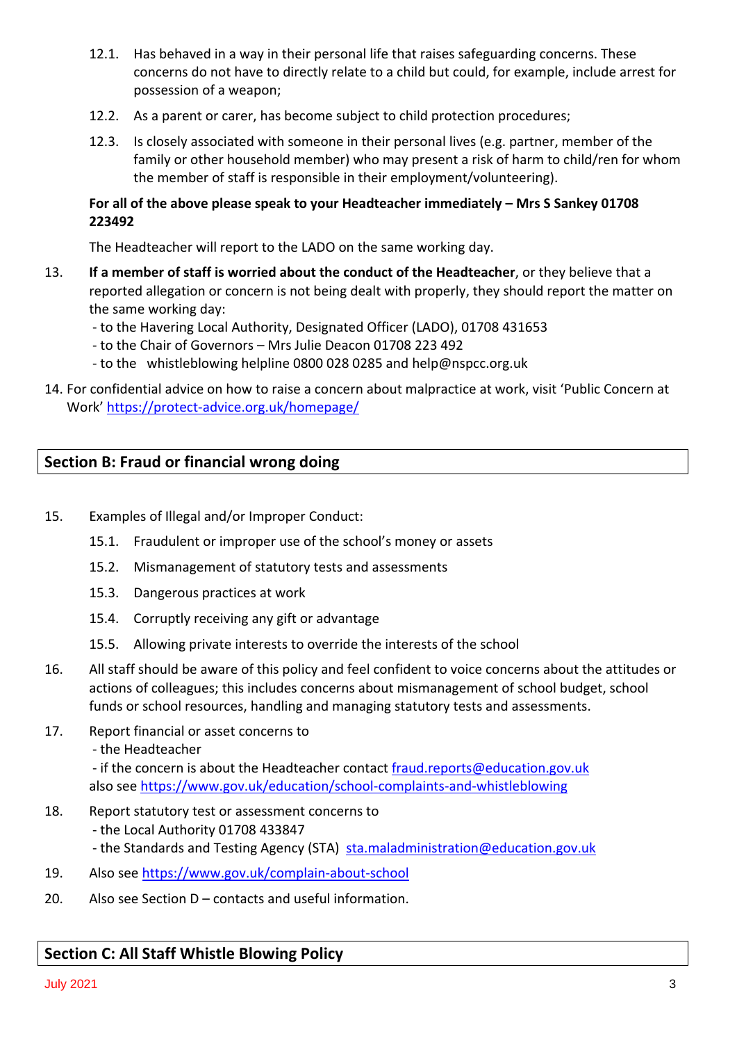- 12.1. Has behaved in a way in their personal life that raises safeguarding concerns. These concerns do not have to directly relate to a child but could, for example, include arrest for possession of a weapon;
- 12.2. As a parent or carer, has become subject to child protection procedures;
- 12.3. Is closely associated with someone in their personal lives (e.g. partner, member of the family or other household member) who may present a risk of harm to child/ren for whom the member of staff is responsible in their employment/volunteering).

## **For all of the above please speak to your Headteacher immediately – Mrs S Sankey 01708 223492**

The Headteacher will report to the LADO on the same working day.

- 13. **If a member of staff is worried about the conduct of the Headteacher**, or they believe that a reported allegation or concern is not being dealt with properly, they should report the matter on the same working day:
	- to the Havering Local Authority, Designated Officer (LADO), 01708 431653
	- to the Chair of Governors Mrs Julie Deacon 01708 223 492
	- to the whistleblowing helpline 0800 028 0285 and help@nspcc.org.uk
- 14. For confidential advice on how to raise a concern about malpractice at work, visit 'Public Concern at Work' <https://protect-advice.org.uk/homepage/>

# **Section B: Fraud or financial wrong doing**

- 15. Examples of Illegal and/or Improper Conduct:
	- 15.1. Fraudulent or improper use of the school's money or assets
	- 15.2. Mismanagement of statutory tests and assessments
	- 15.3. Dangerous practices at work
	- 15.4. Corruptly receiving any gift or advantage
	- 15.5. Allowing private interests to override the interests of the school
- 16. All staff should be aware of this policy and feel confident to voice concerns about the attitudes or actions of colleagues; this includes concerns about mismanagement of school budget, school funds or school resources, handling and managing statutory tests and assessments.
- 17. Report financial or asset concerns to
	- the Headteacher

- if the concern is about the Headteacher contact [fraud.reports@education.gov.uk](mailto:fraud.reports@education.gov.uk) also see<https://www.gov.uk/education/school-complaints-and-whistleblowing>

- 18. Report statutory test or assessment concerns to
	- the Local Authority 01708 433847
	- the Standards and Testing Agency (STA) [sta.maladministration@education.gov.uk](mailto:sta.maladministration@education.gov.uk)
- 19. Also see<https://www.gov.uk/complain-about-school>
- 20. Also see Section D contacts and useful information.

# **Section C: All Staff Whistle Blowing Policy**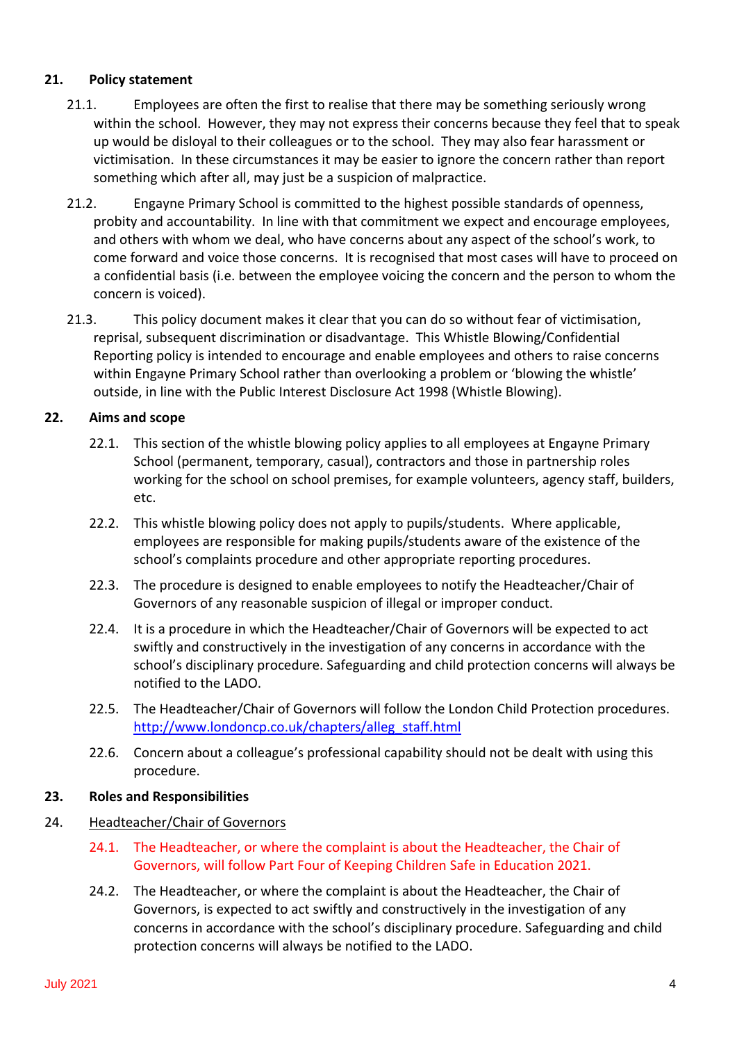## **21. Policy statement**

- 21.1. Employees are often the first to realise that there may be something seriously wrong within the school. However, they may not express their concerns because they feel that to speak up would be disloyal to their colleagues or to the school. They may also fear harassment or victimisation. In these circumstances it may be easier to ignore the concern rather than report something which after all, may just be a suspicion of malpractice.
- 21.2. Engayne Primary School is committed to the highest possible standards of openness, probity and accountability. In line with that commitment we expect and encourage employees, and others with whom we deal, who have concerns about any aspect of the school's work, to come forward and voice those concerns. It is recognised that most cases will have to proceed on a confidential basis (i.e. between the employee voicing the concern and the person to whom the concern is voiced).
- 21.3. This policy document makes it clear that you can do so without fear of victimisation, reprisal, subsequent discrimination or disadvantage. This Whistle Blowing/Confidential Reporting policy is intended to encourage and enable employees and others to raise concerns within Engayne Primary School rather than overlooking a problem or 'blowing the whistle' outside, in line with the Public Interest Disclosure Act 1998 (Whistle Blowing).

## **22. Aims and scope**

- 22.1. This section of the whistle blowing policy applies to all employees at Engayne Primary School (permanent, temporary, casual), contractors and those in partnership roles working for the school on school premises, for example volunteers, agency staff, builders, etc.
- 22.2. This whistle blowing policy does not apply to pupils/students. Where applicable, employees are responsible for making pupils/students aware of the existence of the school's complaints procedure and other appropriate reporting procedures.
- 22.3. The procedure is designed to enable employees to notify the Headteacher/Chair of Governors of any reasonable suspicion of illegal or improper conduct.
- 22.4. It is a procedure in which the Headteacher/Chair of Governors will be expected to act swiftly and constructively in the investigation of any concerns in accordance with the school's disciplinary procedure. Safeguarding and child protection concerns will always be notified to the LADO.
- 22.5. The Headteacher/Chair of Governors will follow the London Child Protection procedures. [http://www.londoncp.co.uk/chapters/alleg\\_staff.html](http://www.londoncp.co.uk/chapters/alleg_staff.html)
- 22.6. Concern about a colleague's professional capability should not be dealt with using this procedure.

#### **23. Roles and Responsibilities**

- 24. Headteacher/Chair of Governors
	- 24.1. The Headteacher, or where the complaint is about the Headteacher, the Chair of Governors, will follow Part Four of Keeping Children Safe in Education 2021.
	- 24.2. The Headteacher, or where the complaint is about the Headteacher, the Chair of Governors, is expected to act swiftly and constructively in the investigation of any concerns in accordance with the school's disciplinary procedure. Safeguarding and child protection concerns will always be notified to the LADO.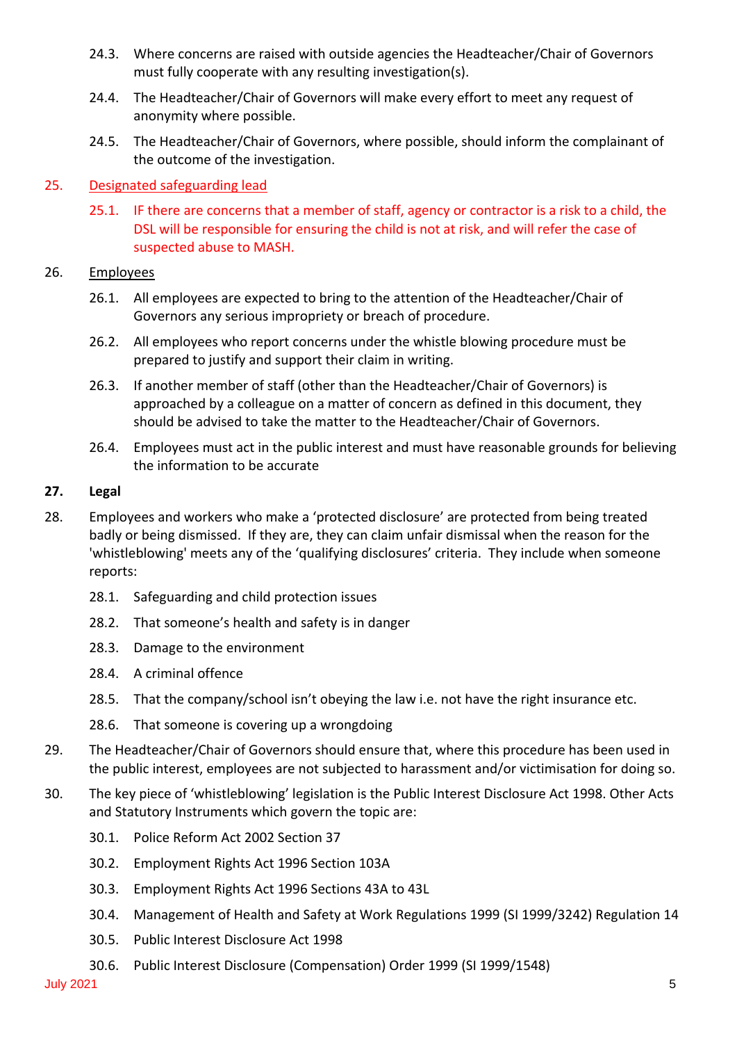- 24.3. Where concerns are raised with outside agencies the Headteacher/Chair of Governors must fully cooperate with any resulting investigation(s).
- 24.4. The Headteacher/Chair of Governors will make every effort to meet any request of anonymity where possible.
- 24.5. The Headteacher/Chair of Governors, where possible, should inform the complainant of the outcome of the investigation.

## 25. Designated safeguarding lead

25.1. IF there are concerns that a member of staff, agency or contractor is a risk to a child, the DSL will be responsible for ensuring the child is not at risk, and will refer the case of suspected abuse to MASH.

## 26. Employees

- 26.1. All employees are expected to bring to the attention of the Headteacher/Chair of Governors any serious impropriety or breach of procedure.
- 26.2. All employees who report concerns under the whistle blowing procedure must be prepared to justify and support their claim in writing.
- 26.3. If another member of staff (other than the Headteacher/Chair of Governors) is approached by a colleague on a matter of concern as defined in this document, they should be advised to take the matter to the Headteacher/Chair of Governors.
- 26.4. Employees must act in the public interest and must have reasonable grounds for believing the information to be accurate

## **27. Legal**

- 28. Employees and workers who make a 'protected disclosure' are protected from being treated badly or being dismissed. If they are, they can claim unfair dismissal when the reason for the 'whistleblowing' meets any of the 'qualifying disclosures' criteria. They include when someone reports:
	- 28.1. Safeguarding and child protection issues
	- 28.2. That someone's health and safety is in danger
	- 28.3. Damage to the environment
	- 28.4. A criminal offence
	- 28.5. That the company/school isn't obeying the law i.e. not have the right insurance etc.
	- 28.6. That someone is covering up a wrongdoing
- 29. The Headteacher/Chair of Governors should ensure that, where this procedure has been used in the public interest, employees are not subjected to harassment and/or victimisation for doing so.
- 30. The key piece of 'whistleblowing' legislation is the Public Interest Disclosure Act 1998. Other Acts and Statutory Instruments which govern the topic are:
	- 30.1. Police Reform Act 2002 Section 37
	- 30.2. Employment Rights Act 1996 Section 103A
	- 30.3. Employment Rights Act 1996 Sections 43A to 43L
	- 30.4. Management of Health and Safety at Work Regulations 1999 (SI 1999/3242) Regulation 14
	- 30.5. Public Interest Disclosure Act 1998
	- 30.6. Public Interest Disclosure (Compensation) Order 1999 (SI 1999/1548)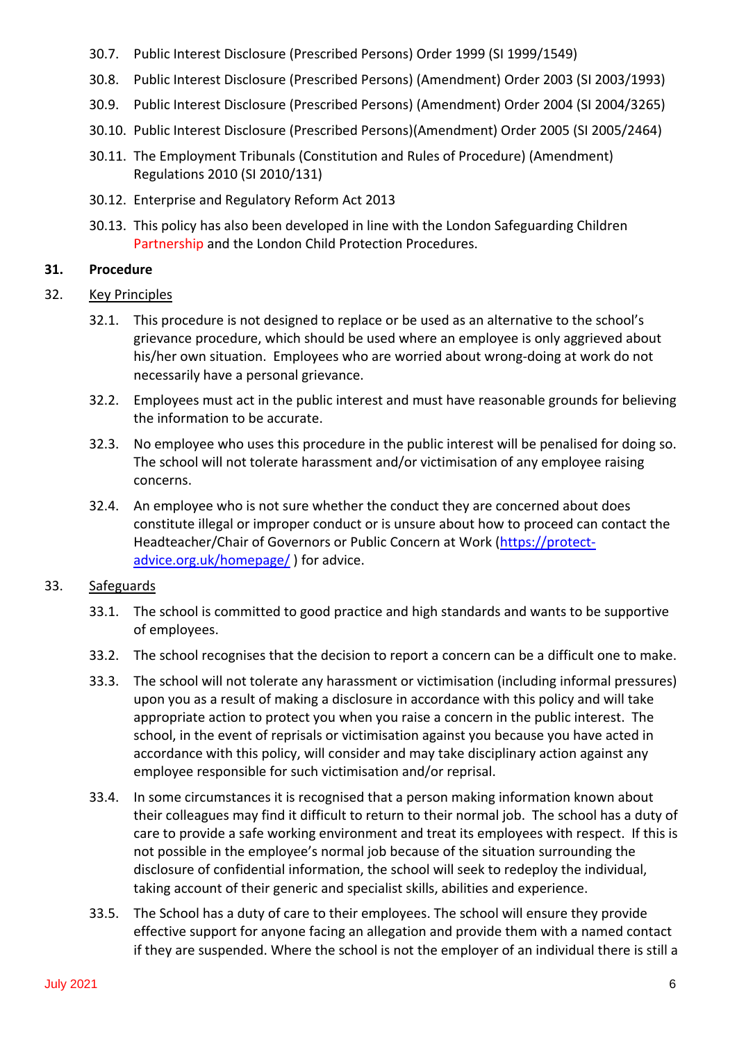- 30.7. Public Interest Disclosure (Prescribed Persons) Order 1999 (SI 1999/1549)
- 30.8. Public Interest Disclosure (Prescribed Persons) (Amendment) Order 2003 (SI 2003/1993)
- 30.9. Public Interest Disclosure (Prescribed Persons) (Amendment) Order 2004 (SI 2004/3265)
- 30.10. Public Interest Disclosure (Prescribed Persons)(Amendment) Order 2005 (SI 2005/2464)
- 30.11. The Employment Tribunals (Constitution and Rules of Procedure) (Amendment) Regulations 2010 (SI 2010/131)
- 30.12. Enterprise and Regulatory Reform Act 2013
- 30.13. This policy has also been developed in line with the London Safeguarding Children Partnership and the London Child Protection Procedures.

## **31. Procedure**

- 32. Key Principles
	- 32.1. This procedure is not designed to replace or be used as an alternative to the school's grievance procedure, which should be used where an employee is only aggrieved about his/her own situation. Employees who are worried about wrong-doing at work do not necessarily have a personal grievance.
	- 32.2. Employees must act in the public interest and must have reasonable grounds for believing the information to be accurate.
	- 32.3. No employee who uses this procedure in the public interest will be penalised for doing so. The school will not tolerate harassment and/or victimisation of any employee raising concerns.
	- 32.4. An employee who is not sure whether the conduct they are concerned about does constitute illegal or improper conduct or is unsure about how to proceed can contact the Headteacher/Chair of Governors or Public Concern at Work [\(https://protect](https://protect-advice.org.uk/homepage/)[advice.org.uk/homepage/](https://protect-advice.org.uk/homepage/) ) for advice.

## 33. Safeguards

- 33.1. The school is committed to good practice and high standards and wants to be supportive of employees.
- 33.2. The school recognises that the decision to report a concern can be a difficult one to make.
- 33.3. The school will not tolerate any harassment or victimisation (including informal pressures) upon you as a result of making a disclosure in accordance with this policy and will take appropriate action to protect you when you raise a concern in the public interest. The school, in the event of reprisals or victimisation against you because you have acted in accordance with this policy, will consider and may take disciplinary action against any employee responsible for such victimisation and/or reprisal.
- 33.4. In some circumstances it is recognised that a person making information known about their colleagues may find it difficult to return to their normal job. The school has a duty of care to provide a safe working environment and treat its employees with respect. If this is not possible in the employee's normal job because of the situation surrounding the disclosure of confidential information, the school will seek to redeploy the individual, taking account of their generic and specialist skills, abilities and experience.
- 33.5. The School has a duty of care to their employees. The school will ensure they provide effective support for anyone facing an allegation and provide them with a named contact if they are suspended. Where the school is not the employer of an individual there is still a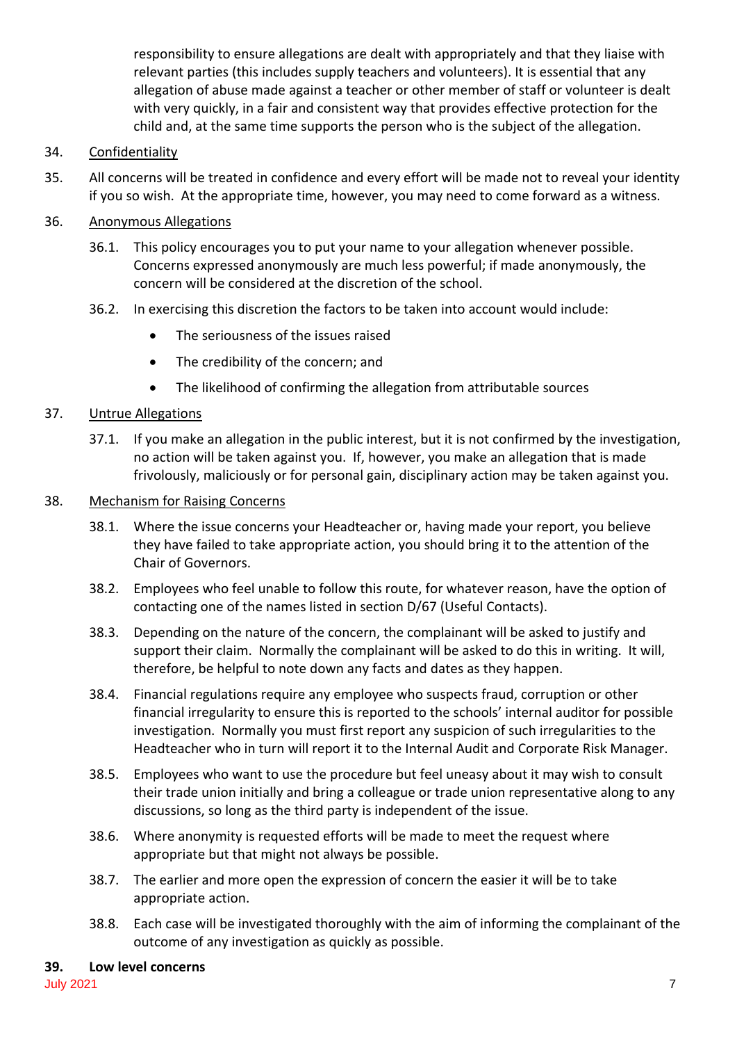responsibility to ensure allegations are dealt with appropriately and that they liaise with relevant parties (this includes supply teachers and volunteers). It is essential that any allegation of abuse made against a teacher or other member of staff or volunteer is dealt with very quickly, in a fair and consistent way that provides effective protection for the child and, at the same time supports the person who is the subject of the allegation.

## 34. Confidentiality

35. All concerns will be treated in confidence and every effort will be made not to reveal your identity if you so wish. At the appropriate time, however, you may need to come forward as a witness.

#### 36. Anonymous Allegations

- 36.1. This policy encourages you to put your name to your allegation whenever possible. Concerns expressed anonymously are much less powerful; if made anonymously, the concern will be considered at the discretion of the school.
- 36.2. In exercising this discretion the factors to be taken into account would include:
	- The seriousness of the issues raised
	- The credibility of the concern; and
	- The likelihood of confirming the allegation from attributable sources

## 37. Untrue Allegations

37.1. If you make an allegation in the public interest, but it is not confirmed by the investigation, no action will be taken against you. If, however, you make an allegation that is made frivolously, maliciously or for personal gain, disciplinary action may be taken against you.

#### 38. Mechanism for Raising Concerns

- 38.1. Where the issue concerns your Headteacher or, having made your report, you believe they have failed to take appropriate action, you should bring it to the attention of the Chair of Governors.
- 38.2. Employees who feel unable to follow this route, for whatever reason, have the option of contacting one of the names listed in section D/67 (Useful Contacts).
- 38.3. Depending on the nature of the concern, the complainant will be asked to justify and support their claim. Normally the complainant will be asked to do this in writing. It will, therefore, be helpful to note down any facts and dates as they happen.
- 38.4. Financial regulations require any employee who suspects fraud, corruption or other financial irregularity to ensure this is reported to the schools' internal auditor for possible investigation. Normally you must first report any suspicion of such irregularities to the Headteacher who in turn will report it to the Internal Audit and Corporate Risk Manager.
- 38.5. Employees who want to use the procedure but feel uneasy about it may wish to consult their trade union initially and bring a colleague or trade union representative along to any discussions, so long as the third party is independent of the issue.
- 38.6. Where anonymity is requested efforts will be made to meet the request where appropriate but that might not always be possible.
- 38.7. The earlier and more open the expression of concern the easier it will be to take appropriate action.
- 38.8. Each case will be investigated thoroughly with the aim of informing the complainant of the outcome of any investigation as quickly as possible.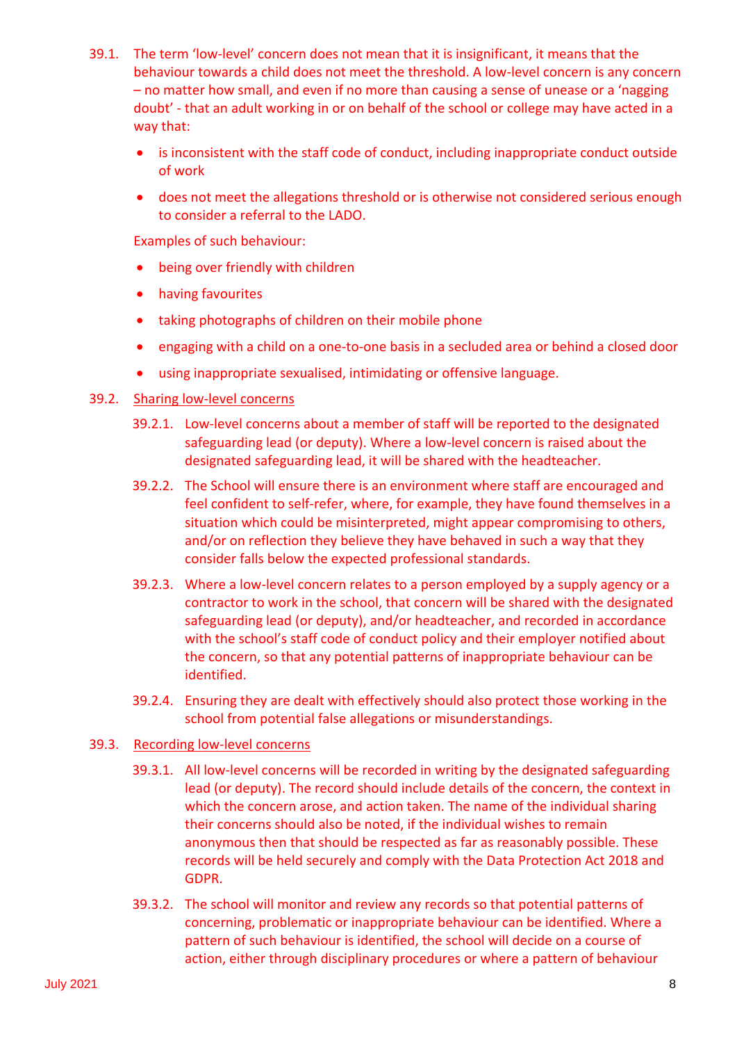- 39.1. The term 'low-level' concern does not mean that it is insignificant, it means that the behaviour towards a child does not meet the threshold. A low-level concern is any concern – no matter how small, and even if no more than causing a sense of unease or a 'nagging doubt' - that an adult working in or on behalf of the school or college may have acted in a way that:
	- is inconsistent with the staff code of conduct, including inappropriate conduct outside of work
	- does not meet the allegations threshold or is otherwise not considered serious enough to consider a referral to the LADO.

Examples of such behaviour:

- being over friendly with children
- having favourites
- taking photographs of children on their mobile phone
- engaging with a child on a one-to-one basis in a secluded area or behind a closed door
- using inappropriate sexualised, intimidating or offensive language.

## 39.2. Sharing low-level concerns

- 39.2.1. Low-level concerns about a member of staff will be reported to the designated safeguarding lead (or deputy). Where a low-level concern is raised about the designated safeguarding lead, it will be shared with the headteacher.
- 39.2.2. The School will ensure there is an environment where staff are encouraged and feel confident to self-refer, where, for example, they have found themselves in a situation which could be misinterpreted, might appear compromising to others, and/or on reflection they believe they have behaved in such a way that they consider falls below the expected professional standards.
- 39.2.3. Where a low-level concern relates to a person employed by a supply agency or a contractor to work in the school, that concern will be shared with the designated safeguarding lead (or deputy), and/or headteacher, and recorded in accordance with the school's staff code of conduct policy and their employer notified about the concern, so that any potential patterns of inappropriate behaviour can be identified.
- 39.2.4. Ensuring they are dealt with effectively should also protect those working in the school from potential false allegations or misunderstandings.

#### 39.3. Recording low-level concerns

- 39.3.1. All low-level concerns will be recorded in writing by the designated safeguarding lead (or deputy). The record should include details of the concern, the context in which the concern arose, and action taken. The name of the individual sharing their concerns should also be noted, if the individual wishes to remain anonymous then that should be respected as far as reasonably possible. These records will be held securely and comply with the Data Protection Act 2018 and GDPR.
- 39.3.2. The school will monitor and review any records so that potential patterns of concerning, problematic or inappropriate behaviour can be identified. Where a pattern of such behaviour is identified, the school will decide on a course of action, either through disciplinary procedures or where a pattern of behaviour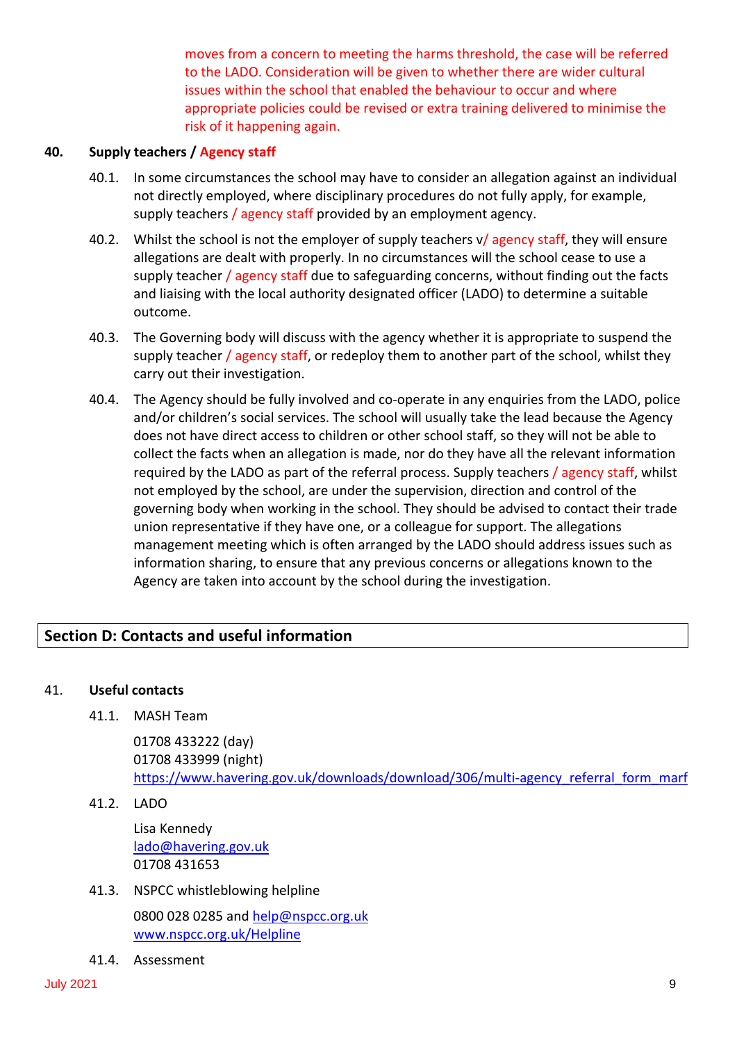moves from a concern to meeting the harms threshold, the case will be referred to the LADO. Consideration will be given to whether there are wider cultural issues within the school that enabled the behaviour to occur and where appropriate policies could be revised or extra training delivered to minimise the risk of it happening again.

## **40. Supply teachers / Agency staff**

- 40.1. In some circumstances the school may have to consider an allegation against an individual not directly employed, where disciplinary procedures do not fully apply, for example, supply teachers / agency staff provided by an employment agency.
- 40.2. Whilst the school is not the employer of supply teachers v/agency staff, they will ensure allegations are dealt with properly. In no circumstances will the school cease to use a supply teacher / agency staff due to safeguarding concerns, without finding out the facts and liaising with the local authority designated officer (LADO) to determine a suitable outcome.
- 40.3. The Governing body will discuss with the agency whether it is appropriate to suspend the supply teacher / agency staff, or redeploy them to another part of the school, whilst they carry out their investigation.
- 40.4. The Agency should be fully involved and co-operate in any enquiries from the LADO, police and/or children's social services. The school will usually take the lead because the Agency does not have direct access to children or other school staff, so they will not be able to collect the facts when an allegation is made, nor do they have all the relevant information required by the LADO as part of the referral process. Supply teachers / agency staff, whilst not employed by the school, are under the supervision, direction and control of the governing body when working in the school. They should be advised to contact their trade union representative if they have one, or a colleague for support. The allegations management meeting which is often arranged by the LADO should address issues such as information sharing, to ensure that any previous concerns or allegations known to the Agency are taken into account by the school during the investigation.

# **Section D: Contacts and useful information**

#### 41. **Useful contacts**

41.1. MASH Team

01708 433222 (day) 01708 433999 (night) [https://www.havering.gov.uk/downloads/download/306/multi-agency\\_referral\\_form\\_marf](https://www.havering.gov.uk/downloads/download/306/multi-agency_referral_form_marf)

41.2. LADO

Lisa Kennedy [lado@havering.gov.uk](mailto:lado@havering.gov.uk) 01708 431653

41.3. NSPCC whistleblowing helpline

0800 028 0285 and [help@nspcc.org.uk](mailto:help@nspcc.org.uk) [www.nspcc.org.uk/Helpline](http://www.nspcc.org.uk/Helpline)

41.4. Assessment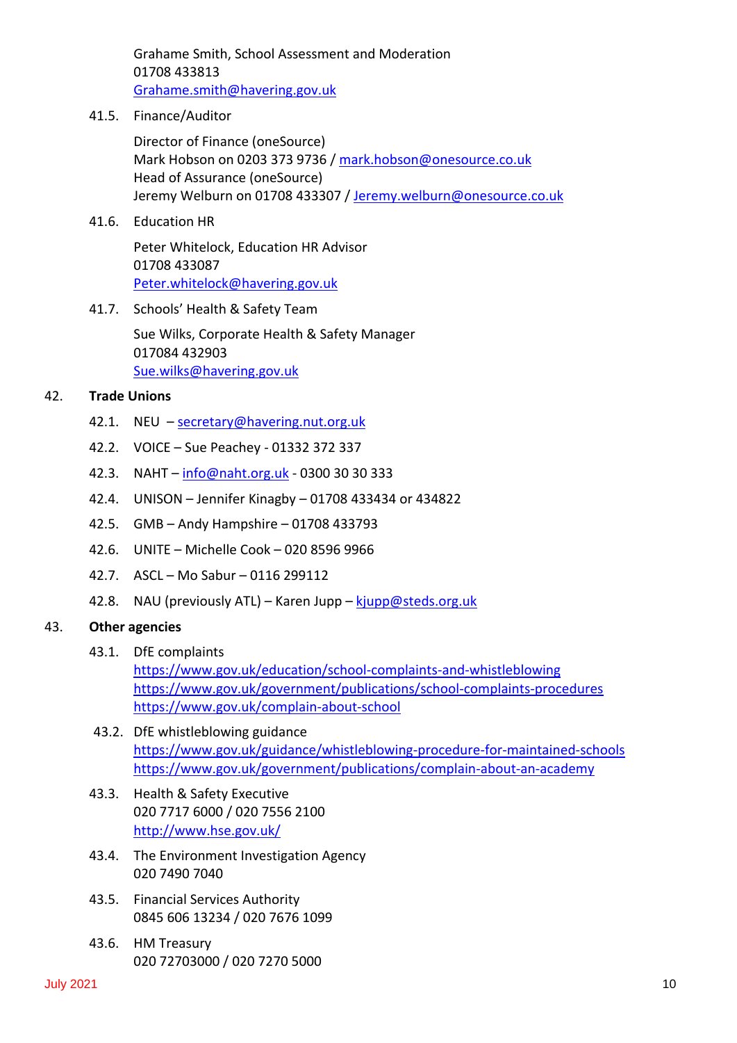Grahame Smith, School Assessment and Moderation 01708 433813 [Grahame.smith@havering.gov.uk](mailto:Grahame.smith@havering.gov.uk)

41.5. Finance/Auditor

Director of Finance (oneSource) Mark Hobson on 0203 373 9736 / [mark.hobson@onesource.co.uk](mailto:mark.hobson@onesource.co.uk) Head of Assurance (oneSource) Jeremy Welburn on 01708 433307 / [Jeremy.welburn@onesource.co.uk](mailto:Jeremy.welburn@onesource.co.uk)

41.6. Education HR

Peter Whitelock, Education HR Advisor 01708 433087 [Peter.whitelock@havering.gov.uk](mailto:Peter.whitelock@havering.gov.uk)

41.7. Schools' Health & Safety Team Sue Wilks, Corporate Health & Safety Manager 017084 432903 [Sue.wilks@havering.gov.uk](mailto:Sue.wilks@havering.gov.uk)

## 42. **Trade Unions**

- 42.1. NEU [secretary@havering.nut.org.uk](mailto:secretary@havering.nut.org.uk)
- 42.2. VOICE Sue Peachey 01332 372 337
- 42.3. NAHT [info@naht.org.uk](mailto:info@naht.org.uk) 0300 30 30 333
- 42.4. UNISON Jennifer Kinagby 01708 433434 or 434822
- 42.5. GMB Andy Hampshire 01708 433793
- 42.6. UNITE Michelle Cook 020 8596 9966
- 42.7. ASCL Mo Sabur 0116 299112
- 42.8. NAU (previously ATL) Karen Jupp [kjupp@steds.org.uk](mailto:kjupp@steds.org.uk)

#### 43. **Other agencies**

43.1. DfE complaints

<https://www.gov.uk/education/school-complaints-and-whistleblowing> <https://www.gov.uk/government/publications/school-complaints-procedures> <https://www.gov.uk/complain-about-school>

- 43.2. DfE whistleblowing guidance <https://www.gov.uk/guidance/whistleblowing-procedure-for-maintained-schools> <https://www.gov.uk/government/publications/complain-about-an-academy>
- 43.3. Health & Safety Executive 020 7717 6000 / 020 7556 2100 <http://www.hse.gov.uk/>
- 43.4. The Environment Investigation Agency 020 7490 7040
- 43.5. Financial Services Authority 0845 606 13234 / 020 7676 1099
- 43.6. HM Treasury 020 72703000 / 020 7270 5000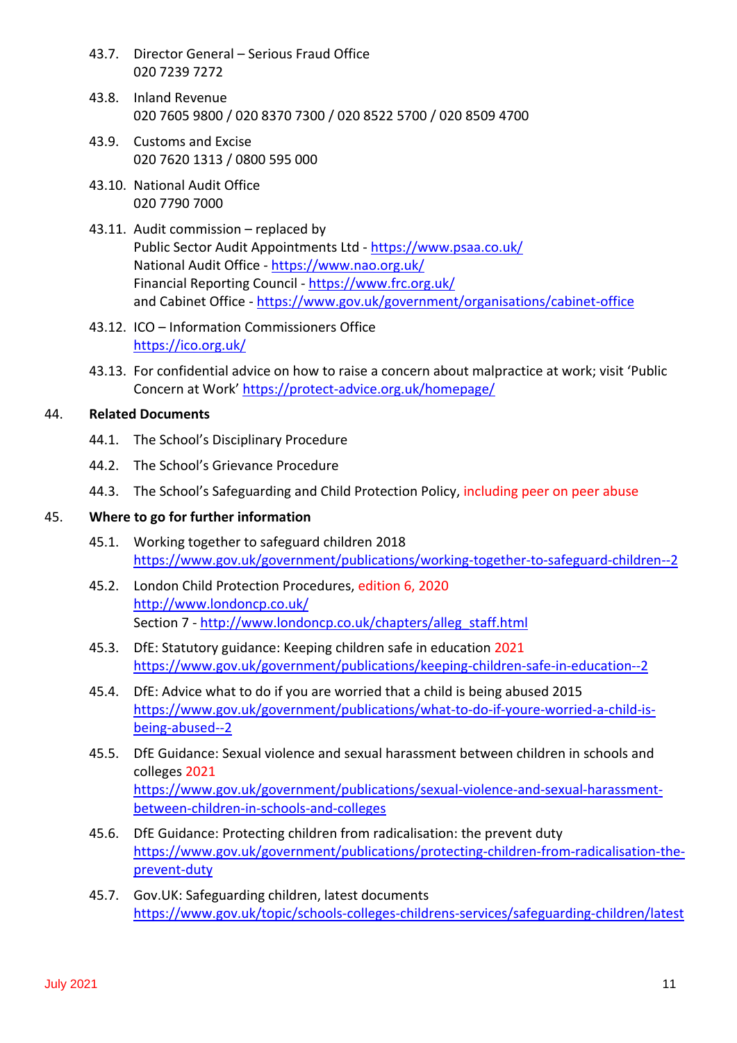- 43.7. Director General Serious Fraud Office 020 7239 7272
- 43.8. Inland Revenue 020 7605 9800 / 020 8370 7300 / 020 8522 5700 / 020 8509 4700
- 43.9. Customs and Excise 020 7620 1313 / 0800 595 000
- 43.10. National Audit Office 020 7790 7000
- 43.11. Audit commission replaced by Public Sector Audit Appointments Ltd - <https://www.psaa.co.uk/> National Audit Office - <https://www.nao.org.uk/> Financial Reporting Council - <https://www.frc.org.uk/> and Cabinet Office - <https://www.gov.uk/government/organisations/cabinet-office>
- 43.12. ICO Information Commissioners Office <https://ico.org.uk/>
- 43.13. For confidential advice on how to raise a concern about malpractice at work; visit 'Public Concern at Work' <https://protect-advice.org.uk/homepage/>

## 44. **Related Documents**

- 44.1. The School's Disciplinary Procedure
- 44.2. The School's Grievance Procedure
- 44.3. The School's Safeguarding and Child Protection Policy, including peer on peer abuse

## 45. **Where to go for further information**

- 45.1. Working together to safeguard children 2018 <https://www.gov.uk/government/publications/working-together-to-safeguard-children--2>
- 45.2. London Child Protection Procedures, edition 6, 2020 <http://www.londoncp.co.uk/> Section 7 - [http://www.londoncp.co.uk/chapters/alleg\\_staff.html](http://www.londoncp.co.uk/chapters/alleg_staff.html)
- 45.3. DfE: Statutory guidance: Keeping children safe in education 2021 <https://www.gov.uk/government/publications/keeping-children-safe-in-education--2>
- 45.4. DfE: Advice what to do if you are worried that a child is being abused 2015 [https://www.gov.uk/government/publications/what-to-do-if-youre-worried-a-child-is](https://www.gov.uk/government/publications/what-to-do-if-youre-worried-a-child-is-being-abused--2)[being-abused--2](https://www.gov.uk/government/publications/what-to-do-if-youre-worried-a-child-is-being-abused--2)
- 45.5. DfE Guidance: [Sexual violence and sexual harassment between children in schools and](https://www.gov.uk/government/uploads/system/uploads/attachment_data/file/719902/Sexual_violence_and_sexual_harassment_between_children_in_schools_and_colleges.pdf)  [colleges](https://www.gov.uk/government/uploads/system/uploads/attachment_data/file/719902/Sexual_violence_and_sexual_harassment_between_children_in_schools_and_colleges.pdf) 2021 [https://www.gov.uk/government/publications/sexual-violence-and-sexual-harassment](https://www.gov.uk/government/publications/sexual-violence-and-sexual-harassment-between-children-in-schools-and-colleges)[between-children-in-schools-and-colleges](https://www.gov.uk/government/publications/sexual-violence-and-sexual-harassment-between-children-in-schools-and-colleges)
- 45.6. DfE Guidance: Protecting children from radicalisation: the prevent duty [https://www.gov.uk/government/publications/protecting-children-from-radicalisation-the](https://www.gov.uk/government/publications/protecting-children-from-radicalisation-the-prevent-duty)[prevent-duty](https://www.gov.uk/government/publications/protecting-children-from-radicalisation-the-prevent-duty)
- 45.7. Gov.UK: Safeguarding children, latest documents <https://www.gov.uk/topic/schools-colleges-childrens-services/safeguarding-children/latest>